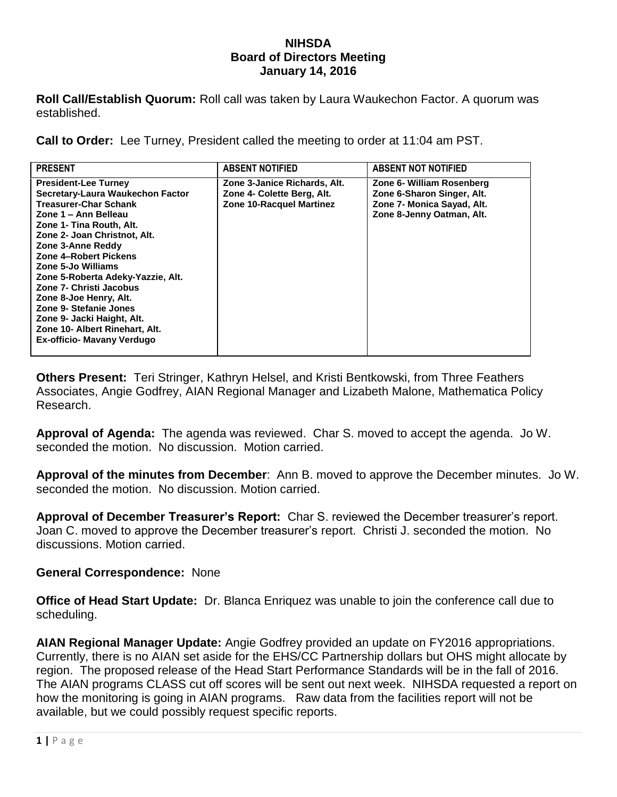#### **NIHSDA Board of Directors Meeting January 14, 2016**

**Roll Call/Establish Quorum:** Roll call was taken by Laura Waukechon Factor. A quorum was established.

**Call to Order:** Lee Turney, President called the meeting to order at 11:04 am PST.

**Others Present:** Teri Stringer, Kathryn Helsel, and Kristi Bentkowski, from Three Feathers Associates, Angie Godfrey, AIAN Regional Manager and Lizabeth Malone, Mathematica Policy Research.

**Approval of Agenda:** The agenda was reviewed. Char S. moved to accept the agenda. Jo W. seconded the motion. No discussion. Motion carried.

**Approval of the minutes from December**: Ann B. moved to approve the December minutes. Jo W. seconded the motion. No discussion. Motion carried.

**Approval of December Treasurer's Report:** Char S. reviewed the December treasurer's report. Joan C. moved to approve the December treasurer's report. Christi J. seconded the motion. No discussions. Motion carried.

### **General Correspondence:** None

**Office of Head Start Update:** Dr. Blanca Enriquez was unable to join the conference call due to scheduling.

**AIAN Regional Manager Update:** Angie Godfrey provided an update on FY2016 appropriations. Currently, there is no AIAN set aside for the EHS/CC Partnership dollars but OHS might allocate by region. The proposed release of the Head Start Performance Standards will be in the fall of 2016. The AIAN programs CLASS cut off scores will be sent out next week. NIHSDA requested a report on how the monitoring is going in AIAN programs. Raw data from the facilities report will not be available, but we could possibly request specific reports.